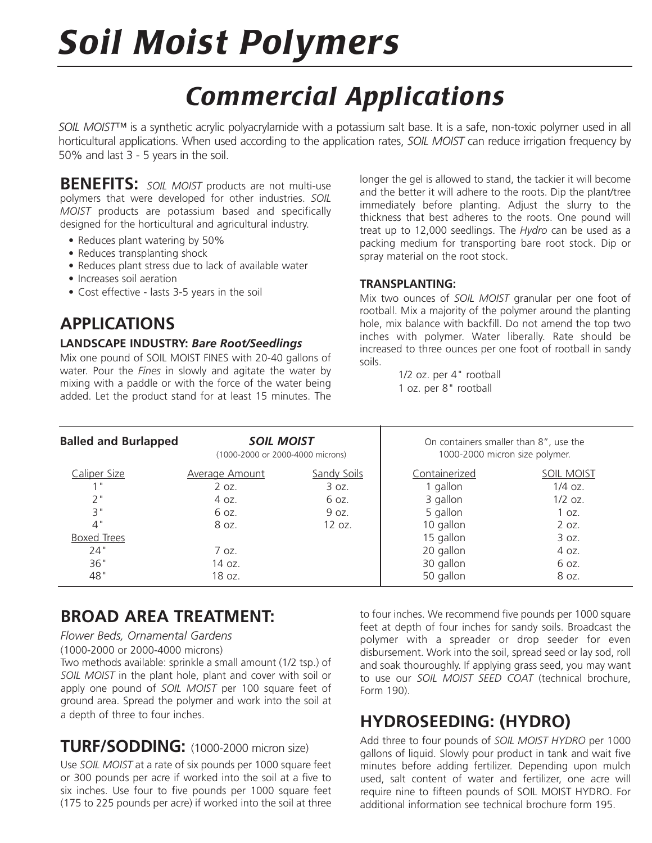# *Soil Moist Polymers*

## *Commercial Applications*

*SOIL MOIST*™ is a synthetic acrylic polyacrylamide with a potassium salt base. It is a safe, non-toxic polymer used in all horticultural applications. When used according to the application rates, *SOIL MOIST* can reduce irrigation frequency by 50% and last 3 - 5 years in the soil.

**BENEFITS:** *SOIL MOIST* products are not multi-use polymers that were developed for other industries. *SOIL MOIST* products are potassium based and specifically designed for the horticultural and agricultural industry.

- Reduces plant watering by 50%
- Reduces transplanting shock
- Reduces plant stress due to lack of available water
- Increases soil aeration
- Cost effective lasts 3-5 years in the soil

## **APPLICATIONS**

#### **LANDSCAPE INDUSTRY:** *Bare Root/Seedlings*

Mix one pound of SOIL MOIST FINES with 20-40 gallons of water. Pour the *Fines* in slowly and agitate the water by mixing with a paddle or with the force of the water being added. Let the product stand for at least 15 minutes. The

longer the gel is allowed to stand, the tackier it will become and the better it will adhere to the roots. Dip the plant/tree immediately before planting. Adjust the slurry to the thickness that best adheres to the roots. One pound will treat up to 12,000 seedlings. The *Hydro* can be used as a packing medium for transporting bare root stock. Dip or spray material on the root stock.

#### **TRANSPLANTING:**

Mix two ounces of *SOIL MOIST* granular per one foot of rootball. Mix a majority of the polymer around the planting hole, mix balance with backfill. Do not amend the top two inches with polymer. Water liberally. Rate should be increased to three ounces per one foot of rootball in sandy soils.

> 1/2 oz. per 4" rootball 1 oz. per 8" rootball

| <b>Balled and Burlapped</b> | <b>SOIL MOIST</b><br>(1000-2000 or 2000-4000 microns) |                    | On containers smaller than 8", use the<br>1000-2000 micron size polymer. |                   |
|-----------------------------|-------------------------------------------------------|--------------------|--------------------------------------------------------------------------|-------------------|
| Caliper Size                | <b>Average Amount</b>                                 | <b>Sandy Soils</b> | Containerized                                                            | <b>SOIL MOIST</b> |
|                             | $2$ oz.                                               | 3 oz.              | 1 gallon                                                                 | $1/4$ oz.         |
| 2"                          | 4 oz.                                                 | 6 oz.              | 3 gallon                                                                 | $1/2$ oz.         |
| 3"                          | 6 oz.                                                 | 9 oz.              | 5 gallon                                                                 | 1 oz.             |
| 4"                          | 8 oz.                                                 | 12 oz.             | 10 gallon                                                                | 2 oz.             |
| <b>Boxed Trees</b>          |                                                       |                    | 15 gallon                                                                | 3 oz.             |
| 24"                         | 7 oz.                                                 |                    | 20 gallon                                                                | 4 oz.             |
| 36"                         | 14 oz.                                                |                    | 30 gallon                                                                | 6 oz.             |
| 48"                         | 18 oz.                                                |                    | 50 gallon                                                                | 8 oz.             |

## **BROAD AREA TREATMENT:**

#### *Flower Beds, Ornamental Gardens*

(1000-2000 or 2000-4000 microns)

Two methods available: sprinkle a small amount (1/2 tsp.) of *SOIL MOIST* in the plant hole, plant and cover with soil or apply one pound of *SOIL MOIST* per 100 square feet of ground area. Spread the polymer and work into the soil at a depth of three to four inches.

## **TURF/SODDING:** (1000-2000 micron size)

Use *SOIL MOIST* at a rate of six pounds per 1000 square feet or 300 pounds per acre if worked into the soil at a five to six inches. Use four to five pounds per 1000 square feet (175 to 225 pounds per acre) if worked into the soil at three

to four inches. We recommend five pounds per 1000 square feet at depth of four inches for sandy soils. Broadcast the polymer with a spreader or drop seeder for even disbursement. Work into the soil, spread seed or lay sod, roll and soak thouroughly. If applying grass seed, you may want to use our *SOIL MOIST SEED COAT* (technical brochure, Form 190).

## **HYDROSEEDING: (HYDRO)**

Add three to four pounds of *SOIL MOIST HYDRO* per 1000 gallons of liquid. Slowly pour product in tank and wait five minutes before adding fertilizer. Depending upon mulch used, salt content of water and fertilizer, one acre will require nine to fifteen pounds of SOIL MOIST HYDRO. For additional information see technical brochure form 195.